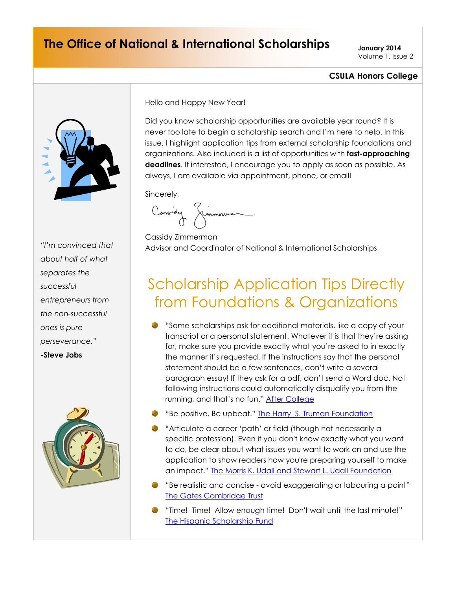### **The Office of National & International Scholarships January 2014**

Volume 1, Issue 2

### **CSULA Honors College**



*about half of what separates the successful entrepreneurs from the non-successful ones is pure perseverance."* **-Steve Jobs**



Hello and Happy New Year!

Did you know scholarship opportunities are available year round? It is never too late to begin a scholarship search and I'm here to help. In this issue, I highlight application tips from external scholarship foundations and organizations. Also included is a list of opportunities with **fast-approaching deadlines**. If interested, I encourage you to apply as soon as possible. As always, I am available via appointment, phone, or email!

Sincerely,

Carsidy Timmonna

Cassidy Zimmerman Advisor and Coordinator of National & International Scholarships *"I'm convinced that* 

# Scholarship Application Tips Directly from Foundations & Organizations

- "Some scholarships ask for additional materials, like a copy of your transcript or a personal statement. Whatever it is that they're asking for, make sure you provide exactly what you're asked to in exactly the manner it's requested. If the instructions say that the personal statement should be a few sentences, don't write a several paragraph essay! If they ask for a pdf, don't send a Word doc. Not following instructions could automatically disqualify you from the running, and that's no fun." [After College](http://blog.aftercollege.com/2013/dont-screw-yourself-over-on-your-scholarship-apps/)
- "Be positive. Be upbeat." [The Harry S. Truman Foundation](http://www.truman.gov/effective-personal-statement)
- **"**Articulate a career 'path' or field (though not necessarily a specific profession). Even if you don't know exactly what you want to do, be clear about what issues you want to work on and use the application to show readers how you're preparing yourself to make an impact." [The Morris K. Udall and Stewart L. Udall Foundation](http://www.udall.gov/OurPrograms/MKUScholarship/PreparationOfMaterials.aspx)
- "Be realistic and concise avoid exaggerating or labouring a point" [The Gates Cambridge Trust](http://www.gatescambridge.org/apply/personal-statement.asp)
- "Time! Time! Allow enough time! Don't wait until the last minute!" [The Hispanic Scholarship Fund](http://hsf.net/en/resources/faqs/tips-for-success)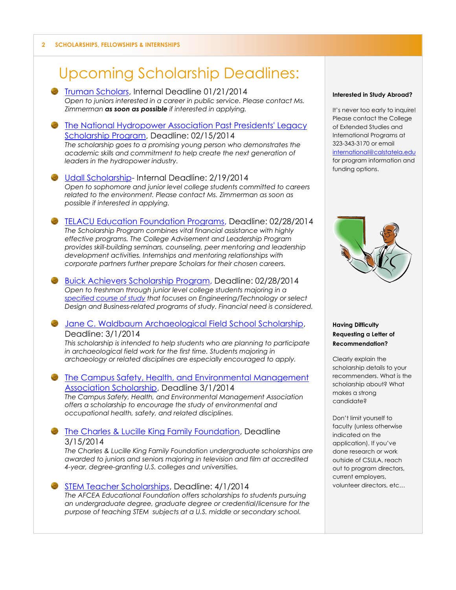## Upcoming Scholarship Deadlines:

- **[Truman Scholars,](http://www.truman.gov/are-you-potential-truman-scholar/) Internal Deadline 01/21/2014** *Open to juniors interested in a career in public service. Please contact Ms. Zimmerman as soon as possible if interested in applying.*
- [The National Hydropower Association Past Presidents' Legacy](http://www.hydro.org/about-nha/awards/past-presidents%E2%80%99-legacy-scholarship/)  [Scholarship Program,](http://www.hydro.org/about-nha/awards/past-presidents%E2%80%99-legacy-scholarship/) Deadline: 02/15/2014 *The scholarship goes to a promising young person who demonstrates the academic skills and commitment to help create the next generation of leaders in the hydropower industry.*
- [Udall Scholarship-](http://www.udall.gov/OurPrograms/MKUScholarship/MKUScholarship.aspx) Internal Deadline: 2/19/2014 *Open to sophomore and junior level college students committed to careers related to the environment. Please contact Ms. Zimmerman as soon as possible if interested in applying.*
- [TELACU Education Foundation Programs,](http://telacu.com/site/en/home/education/programs/college.html) Deadline: 02/28/2014 *The Scholarship Program combines vital financial assistance with highly effective programs. The College Advisement and Leadership Program provides skill-building seminars, counseling, peer mentoring and leadership development activities. Internships and mentoring relationships with corporate partners further prepare Scholars for their chosen careers.*
- [Buick Achievers Scholarship Program,](http://www.buickachievers.com/guidelines/) Deadline: 02/28/2014 *Open to freshman through junior level college students majoring in a [specified course of study](http://www.buickachievers.com/faq/#majors) that focuses on Engineering/Technology or select Design and Business-related programs of study. Financial need is considered.*
- [Jane C. Waldbaum Archaeological Field School Scholarship,](http://www.archaeological.org/grants/708) Deadline: 3/1/2014

*This scholarship is intended to help students who are planning to participate in archaeological field work for the first time. Students majoring in archaeology or related disciplines are especially encouraged to apply.*

- **The Campus Safety, Health, and Environmental Management** [Association Scholarship,](http://www.cshema.org/content.aspx?id=52) Deadline 3/1/2014 *The Campus Safety, Health, and Environmental Management Association offers a scholarship to encourage the study of environmental and occupational health, safety, and related disciplines.*
- **[The Charles & Lucille King Family Foundation,](http://www.kingfoundation.org/eligibility.html) Deadline** 3/15/2014

*The Charles & Lucille King Family Foundation undergraduate scholarships are awarded to juniors and seniors majoring in television and film at accredited 4-year, degree-granting U.S. colleges and universities.*

[STEM Teacher Scholarships,](http://www.afcea.org/education/scholarships/undergraduate/TeachersScholarship.asp) Deadline: 4/1/2014 *The AFCEA Educational Foundation offers scholarships to students pursuing an undergraduate degree, graduate degree or credential/licensure for the purpose of teaching STEM subjects at a U.S. middle or secondary school.*

#### **Interested in Study Abroad?**

It's never too early to inquire! Please contact the College of Extended Studies and International Programs at 323-343-3170 or email [international@calstatela.edu](mailto:international@calstatela.edu)  for program information and funding options.



#### **Having Difficulty Requesting a Letter of Recommendation?**

Clearly explain the scholarship details to your recommenders. What is the scholarship about? What makes a strong candidate?

Don't limit yourself to faculty (unless otherwise indicated on the application). If you've done research or work outside of CSULA, reach out to program directors, current employers, volunteer directors, etc…